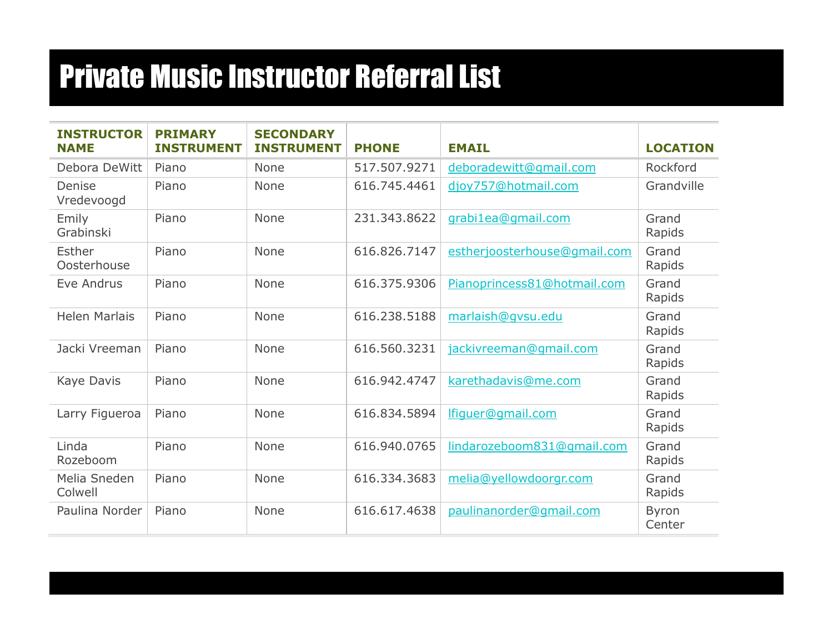| <b>INSTRUCTOR</b><br><b>NAME</b> | <b>PRIMARY</b><br><b>INSTRUMENT</b> | <b>SECONDARY</b><br><b>INSTRUMENT</b> | <b>PHONE</b> | <b>EMAIL</b>                 | <b>LOCATION</b>        |
|----------------------------------|-------------------------------------|---------------------------------------|--------------|------------------------------|------------------------|
| Debora DeWitt                    | Piano                               | None                                  | 517.507.9271 | deboradewitt@gmail.com       | Rockford               |
| Denise<br>Vredevoogd             | Piano                               | None                                  | 616.745.4461 | djoy757@hotmail.com          | Grandville             |
| Emily<br>Grabinski               | Piano                               | None                                  | 231.343.8622 | grabi1ea@gmail.com           | Grand<br>Rapids        |
| Esther<br>Oosterhouse            | Piano                               | None                                  | 616.826.7147 | estherjoosterhouse@gmail.com | Grand<br>Rapids        |
| Eve Andrus                       | Piano                               | None                                  | 616.375.9306 | Pianoprincess81@hotmail.com  | Grand<br>Rapids        |
| <b>Helen Marlais</b>             | Piano                               | None                                  | 616.238.5188 | marlaish@qvsu.edu            | Grand<br>Rapids        |
| Jacki Vreeman                    | Piano                               | None                                  | 616.560.3231 | jackivreeman@gmail.com       | Grand<br>Rapids        |
| Kaye Davis                       | Piano                               | None                                  | 616.942.4747 | karethadavis@me.com          | Grand<br>Rapids        |
| Larry Figueroa                   | Piano                               | None                                  | 616.834.5894 | lfiquer@qmail.com            | Grand<br>Rapids        |
| Linda<br>Rozeboom                | Piano                               | None                                  | 616.940.0765 | lindarozeboom831@qmail.com   | Grand<br>Rapids        |
| Melia Sneden<br>Colwell          | Piano                               | None                                  | 616.334.3683 | melia@yellowdoorgr.com       | Grand<br>Rapids        |
| Paulina Norder                   | Piano                               | None                                  | 616.617.4638 | paulinanorder@gmail.com      | <b>Byron</b><br>Center |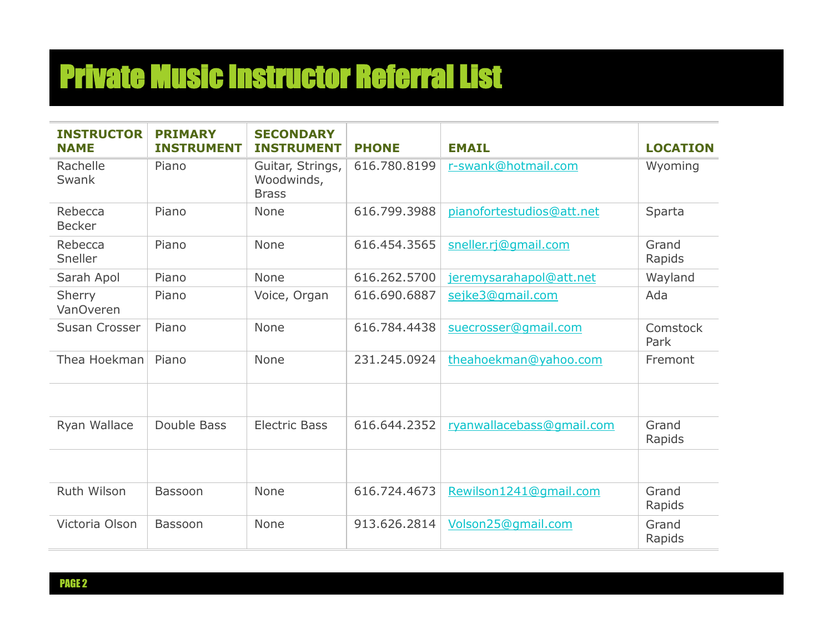| <b>INSTRUCTOR</b><br><b>NAME</b> | <b>PRIMARY</b><br><b>INSTRUMENT</b> | <b>SECONDARY</b><br><b>INSTRUMENT</b>          | <b>PHONE</b> | <b>EMAIL</b>              | <b>LOCATION</b>  |
|----------------------------------|-------------------------------------|------------------------------------------------|--------------|---------------------------|------------------|
| Rachelle<br>Swank                | Piano                               | Guitar, Strings,<br>Woodwinds,<br><b>Brass</b> | 616.780.8199 | r-swank@hotmail.com       | Wyoming          |
| Rebecca<br><b>Becker</b>         | Piano                               | None                                           | 616,799,3988 | pianofortestudios@att.net | Sparta           |
| Rebecca<br>Sneller               | Piano                               | None                                           | 616.454.3565 | sneller.rj@gmail.com      | Grand<br>Rapids  |
| Sarah Apol                       | Piano                               | None                                           | 616,262,5700 | jeremysarahapol@att.net   | Wayland          |
| Sherry<br><b>VanOveren</b>       | Piano                               | Voice, Organ                                   | 616.690.6887 | sejke3@gmail.com          | Ada              |
| Susan Crosser                    | Piano                               | None                                           | 616,784,4438 | suecrosser@gmail.com      | Comstock<br>Park |
| Thea Hoekman                     | Piano                               | None                                           | 231.245.0924 | theahoekman@yahoo.com     | Fremont          |
| Ryan Wallace                     | Double Bass                         | <b>Electric Bass</b>                           | 616.644.2352 | ryanwallacebass@gmail.com | Grand<br>Rapids  |
| Ruth Wilson                      | Bassoon                             | None                                           | 616.724.4673 | Rewilson1241@gmail.com    | Grand<br>Rapids  |
| Victoria Olson                   | <b>Bassoon</b>                      | None                                           | 913.626.2814 | Volson25@qmail.com        | Grand<br>Rapids  |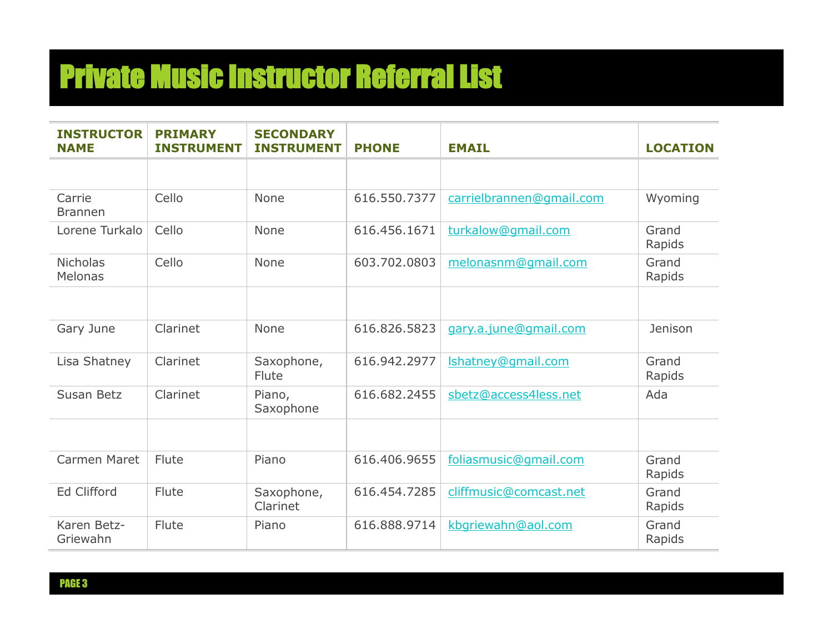| <b>INSTRUCTOR</b><br><b>NAME</b> | <b>PRIMARY</b><br><b>INSTRUMENT</b> | <b>SECONDARY</b><br><b>INSTRUMENT</b> | <b>PHONE</b> | <b>EMAIL</b>             | <b>LOCATION</b> |
|----------------------------------|-------------------------------------|---------------------------------------|--------------|--------------------------|-----------------|
|                                  |                                     |                                       |              |                          |                 |
| Carrie<br><b>Brannen</b>         | Cello                               | None                                  | 616.550.7377 | carrielbrannen@gmail.com | Wyoming         |
| Lorene Turkalo                   | Cello                               | None                                  | 616,456,1671 | turkalow@gmail.com       | Grand<br>Rapids |
| <b>Nicholas</b><br>Melonas       | Cello                               | None                                  | 603.702.0803 | melonasnm@gmail.com      | Grand<br>Rapids |
|                                  |                                     |                                       |              |                          |                 |
| Gary June                        | Clarinet                            | None                                  | 616.826.5823 | gary.a.june@gmail.com    | Jenison         |
| Lisa Shatney                     | Clarinet                            | Saxophone,<br>Flute                   | 616.942.2977 | Ishatney@gmail.com       | Grand<br>Rapids |
| Susan Betz                       | Clarinet                            | Piano,<br>Saxophone                   | 616,682,2455 | sbetz@access4less.net    | Ada             |
|                                  |                                     |                                       |              |                          |                 |
| Carmen Maret                     | Flute                               | Piano                                 | 616.406.9655 | foliasmusic@gmail.com    | Grand<br>Rapids |
| <b>Ed Clifford</b>               | Flute                               | Saxophone,<br>Clarinet                | 616.454.7285 | cliffmusic@comcast.net   | Grand<br>Rapids |
| Karen Betz-<br>Griewahn          | Flute                               | Piano                                 | 616,888,9714 | kbgriewahn@aol.com       | Grand<br>Rapids |

PAGE 3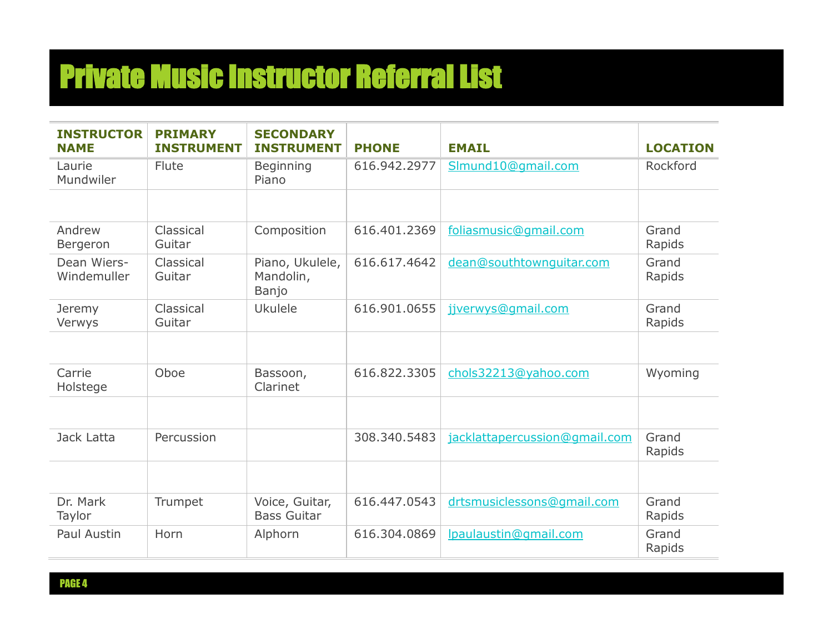| <b>INSTRUCTOR</b><br><b>NAME</b> | <b>PRIMARY</b><br><b>INSTRUMENT</b> | <b>SECONDARY</b><br><b>INSTRUMENT</b> | <b>PHONE</b> | <b>EMAIL</b>                  | <b>LOCATION</b> |
|----------------------------------|-------------------------------------|---------------------------------------|--------------|-------------------------------|-----------------|
| Laurie<br>Mundwiler              | Flute                               | Beginning<br>Piano                    | 616.942.2977 | Slmund10@gmail.com            | Rockford        |
|                                  |                                     |                                       |              |                               |                 |
| Andrew<br>Bergeron               | Classical<br>Guitar                 | Composition                           | 616.401.2369 | foliasmusic@gmail.com         | Grand<br>Rapids |
| Dean Wiers-<br>Windemuller       | Classical<br>Guitar                 | Piano, Ukulele,<br>Mandolin,<br>Banjo | 616.617.4642 | dean@southtownguitar.com      | Grand<br>Rapids |
| Jeremy<br>Verwys                 | Classical<br>Guitar                 | <b>Ukulele</b>                        | 616.901.0655 | jjverwys@gmail.com            | Grand<br>Rapids |
|                                  |                                     |                                       |              |                               |                 |
| Carrie<br>Holstege               | Oboe                                | Bassoon,<br>Clarinet                  | 616.822.3305 | chols32213@yahoo.com          | Wyoming         |
|                                  |                                     |                                       |              |                               |                 |
| Jack Latta                       | Percussion                          |                                       | 308.340.5483 | jacklattapercussion@gmail.com | Grand<br>Rapids |
|                                  |                                     |                                       |              |                               |                 |
| Dr. Mark<br>Taylor               | Trumpet                             | Voice, Guitar,<br><b>Bass Guitar</b>  | 616.447.0543 | drtsmusiclessons@gmail.com    | Grand<br>Rapids |
| Paul Austin                      | Horn                                | Alphorn                               | 616,304,0869 | Ipaulaustin@gmail.com         | Grand<br>Rapids |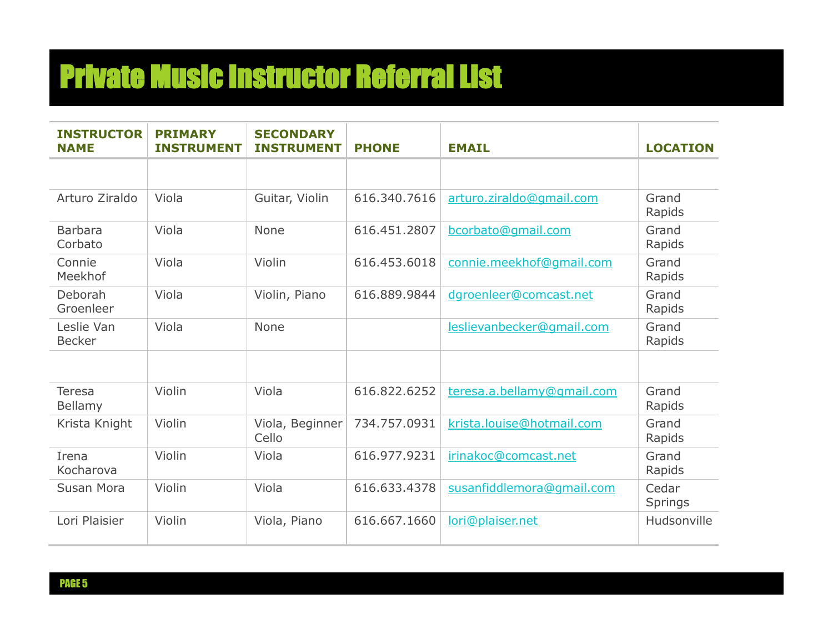| <b>INSTRUCTOR</b><br><b>NAME</b> | <b>PRIMARY</b><br><b>INSTRUMENT</b> | <b>SECONDARY</b><br><b>INSTRUMENT</b> | <b>PHONE</b> | <b>EMAIL</b>               | <b>LOCATION</b>  |
|----------------------------------|-------------------------------------|---------------------------------------|--------------|----------------------------|------------------|
|                                  |                                     |                                       |              |                            |                  |
| Arturo Ziraldo                   | Viola                               | Guitar, Violin                        | 616,340,7616 | arturo.ziraldo@qmail.com   | Grand<br>Rapids  |
| <b>Barbara</b><br>Corbato        | Viola                               | None                                  | 616.451.2807 | bcorbato@gmail.com         | Grand<br>Rapids  |
| Connie<br>Meekhof                | Viola                               | Violin                                | 616.453.6018 | connie.meekhof@gmail.com   | Grand<br>Rapids  |
| Deborah<br>Groenleer             | Viola                               | Violin, Piano                         | 616,889,9844 | dgroenleer@comcast.net     | Grand<br>Rapids  |
| Leslie Van<br><b>Becker</b>      | Viola                               | None                                  |              | leslievanbecker@gmail.com  | Grand<br>Rapids  |
|                                  |                                     |                                       |              |                            |                  |
| <b>Teresa</b><br>Bellamy         | Violin                              | Viola                                 | 616.822.6252 | teresa.a.bellamy@gmail.com | Grand<br>Rapids  |
| Krista Knight                    | Violin                              | Viola, Beginner<br>Cello              | 734.757.0931 | krista.louise@hotmail.com  | Grand<br>Rapids  |
| Irena<br>Kocharova               | Violin                              | Viola                                 | 616.977.9231 | irinakoc@comcast.net       | Grand<br>Rapids  |
| Susan Mora                       | Violin                              | Viola                                 | 616.633.4378 | susanfiddlemora@gmail.com  | Cedar<br>Springs |
| Lori Plaisier                    | Violin                              | Viola, Piano                          | 616,667,1660 | lori@plaiser.net           | Hudsonville      |